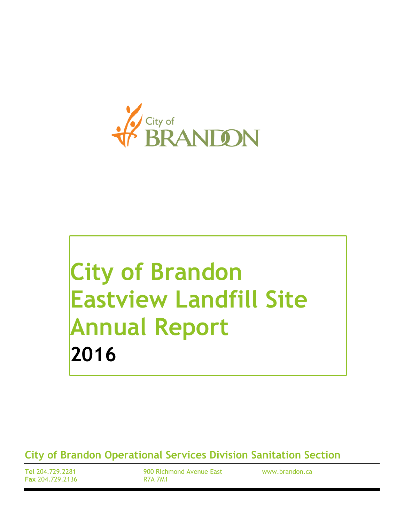

# **City of Brandon Eastview Landfill Site Annual Report 2016**

**City of Brandon Operational Services Division Sanitation Section**

**Tel** 204.729.2281 **Fax** 204.729.2136 900 Richmond Avenue East R7A 7M1

www.brandon.ca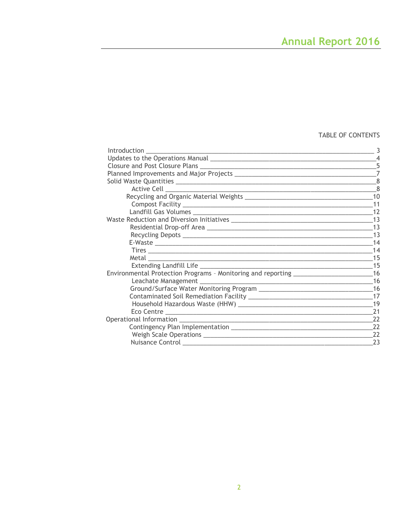#### TABLE OF CONTENTS

| Introduction                                                                                                                                                                                                                                             |                |
|----------------------------------------------------------------------------------------------------------------------------------------------------------------------------------------------------------------------------------------------------------|----------------|
|                                                                                                                                                                                                                                                          | $\overline{4}$ |
|                                                                                                                                                                                                                                                          | 5              |
|                                                                                                                                                                                                                                                          | $\overline{7}$ |
|                                                                                                                                                                                                                                                          | 8              |
|                                                                                                                                                                                                                                                          | 8              |
|                                                                                                                                                                                                                                                          |                |
|                                                                                                                                                                                                                                                          |                |
|                                                                                                                                                                                                                                                          | 12             |
|                                                                                                                                                                                                                                                          |                |
|                                                                                                                                                                                                                                                          | 13             |
|                                                                                                                                                                                                                                                          | $\sim$ 13      |
| E-Waste                                                                                                                                                                                                                                                  | 14             |
|                                                                                                                                                                                                                                                          | 14             |
|                                                                                                                                                                                                                                                          | 15             |
| Extending Landfill Life ________________                                                                                                                                                                                                                 |                |
|                                                                                                                                                                                                                                                          |                |
|                                                                                                                                                                                                                                                          |                |
|                                                                                                                                                                                                                                                          |                |
|                                                                                                                                                                                                                                                          | 17             |
|                                                                                                                                                                                                                                                          | 19             |
|                                                                                                                                                                                                                                                          | 21             |
|                                                                                                                                                                                                                                                          | 22             |
|                                                                                                                                                                                                                                                          | 22             |
|                                                                                                                                                                                                                                                          | 22             |
| Nuisance Control<br><u> 1989 - Johann John Harry Harry Harry Harry Harry Harry Harry Harry Harry Harry Harry Harry Harry Harry Harry Harry Harry Harry Harry Harry Harry Harry Harry Harry Harry Harry Harry Harry Harry Harry Harry Harry Harry Har</u> | 23             |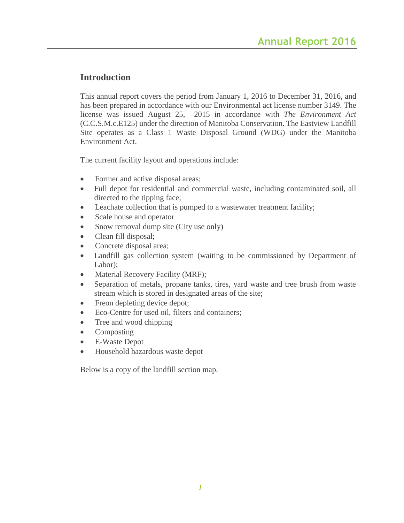# **Introduction**

This annual report covers the period from January 1, 2016 to December 31, 2016, and has been prepared in accordance with our Environmental act license number 3149. The license was issued August 25, 2015 in accordance with *The Environment Act* (C.C.S.M.c.E125) under the direction of Manitoba Conservation. The Eastview Landfill Site operates as a Class 1 Waste Disposal Ground (WDG) under the Manitoba Environment Act.

The current facility layout and operations include:

- Former and active disposal areas;
- Full depot for residential and commercial waste, including contaminated soil, all directed to the tipping face;
- Leachate collection that is pumped to a wastewater treatment facility;
- Scale house and operator
- Snow removal dump site (City use only)
- Clean fill disposal;
- Concrete disposal area;
- Landfill gas collection system (waiting to be commissioned by Department of Labor);
- Material Recovery Facility (MRF);
- Separation of metals, propane tanks, tires, yard waste and tree brush from waste stream which is stored in designated areas of the site;
- Freon depleting device depot;
- Eco-Centre for used oil, filters and containers;
- Tree and wood chipping
- Composting
- E-Waste Depot
- Household hazardous waste depot

Below is a copy of the landfill section map.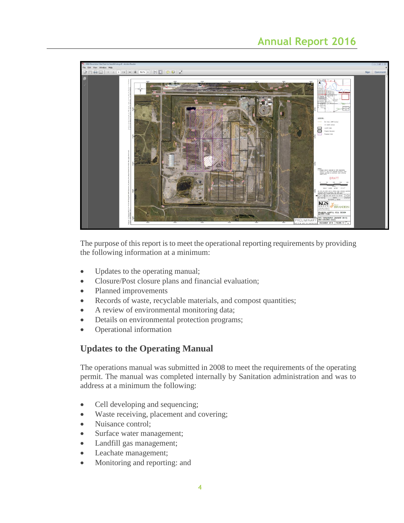# **Annual Report 2016**



The purpose of this report is to meet the operational reporting requirements by providing the following information at a minimum:

- Updates to the operating manual;
- Closure/Post closure plans and financial evaluation;
- Planned improvements
- Records of waste, recyclable materials, and compost quantities;
- A review of environmental monitoring data;
- Details on environmental protection programs;
- Operational information

# **Updates to the Operating Manual**

The operations manual was submitted in 2008 to meet the requirements of the operating permit. The manual was completed internally by Sanitation administration and was to address at a minimum the following:

- Cell developing and sequencing;
- Waste receiving, placement and covering;
- Nuisance control;
- Surface water management;
- Landfill gas management;
- Leachate management;
- Monitoring and reporting: and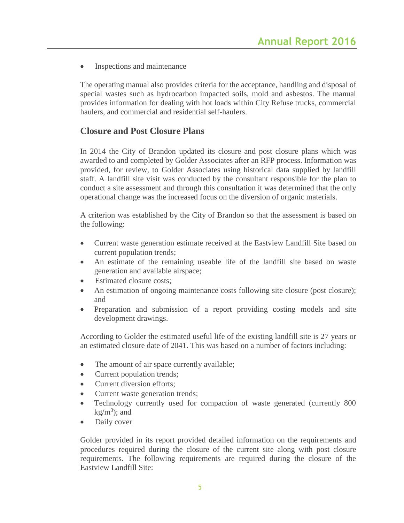• Inspections and maintenance

The operating manual also provides criteria for the acceptance, handling and disposal of special wastes such as hydrocarbon impacted soils, mold and asbestos. The manual provides information for dealing with hot loads within City Refuse trucks, commercial haulers, and commercial and residential self-haulers.

#### **Closure and Post Closure Plans**

In 2014 the City of Brandon updated its closure and post closure plans which was awarded to and completed by Golder Associates after an RFP process. Information was provided, for review, to Golder Associates using historical data supplied by landfill staff. A landfill site visit was conducted by the consultant responsible for the plan to conduct a site assessment and through this consultation it was determined that the only operational change was the increased focus on the diversion of organic materials.

A criterion was established by the City of Brandon so that the assessment is based on the following:

- Current waste generation estimate received at the Eastview Landfill Site based on current population trends;
- An estimate of the remaining useable life of the landfill site based on waste generation and available airspace;
- Estimated closure costs;
- An estimation of ongoing maintenance costs following site closure (post closure); and
- Preparation and submission of a report providing costing models and site development drawings.

According to Golder the estimated useful life of the existing landfill site is 27 years or an estimated closure date of 2041. This was based on a number of factors including:

- The amount of air space currently available;
- Current population trends;
- Current diversion efforts;
- Current waste generation trends;
- Technology currently used for compaction of waste generated (currently 800)  $kg/m<sup>3</sup>)$ ; and
- Daily cover

Golder provided in its report provided detailed information on the requirements and procedures required during the closure of the current site along with post closure requirements. The following requirements are required during the closure of the Eastview Landfill Site: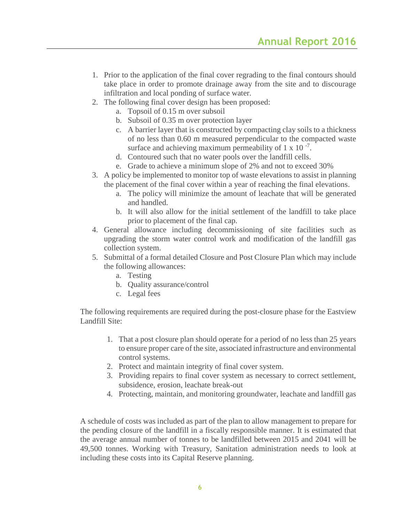- 1. Prior to the application of the final cover regrading to the final contours should take place in order to promote drainage away from the site and to discourage infiltration and local ponding of surface water.
- 2. The following final cover design has been proposed:
	- a. Topsoil of 0.15 m over subsoil
	- b. Subsoil of 0.35 m over protection layer
	- c. A barrier layer that is constructed by compacting clay soils to a thickness of no less than 0.60 m measured perpendicular to the compacted waste surface and achieving maximum permeability of  $1 \times 10^{-7}$ .
	- d. Contoured such that no water pools over the landfill cells.
	- e. Grade to achieve a minimum slope of 2% and not to exceed 30%
- 3. A policy be implemented to monitor top of waste elevations to assist in planning the placement of the final cover within a year of reaching the final elevations.
	- a. The policy will minimize the amount of leachate that will be generated and handled.
	- b. It will also allow for the initial settlement of the landfill to take place prior to placement of the final cap.
- 4. General allowance including decommissioning of site facilities such as upgrading the storm water control work and modification of the landfill gas collection system.
- 5. Submittal of a formal detailed Closure and Post Closure Plan which may include the following allowances:
	- a. Testing
	- b. Quality assurance/control
	- c. Legal fees

The following requirements are required during the post-closure phase for the Eastview Landfill Site:

- 1. That a post closure plan should operate for a period of no less than 25 years to ensure proper care of the site, associated infrastructure and environmental control systems.
- 2. Protect and maintain integrity of final cover system.
- 3. Providing repairs to final cover system as necessary to correct settlement, subsidence, erosion, leachate break-out
- 4. Protecting, maintain, and monitoring groundwater, leachate and landfill gas

A schedule of costs was included as part of the plan to allow management to prepare for the pending closure of the landfill in a fiscally responsible manner. It is estimated that the average annual number of tonnes to be landfilled between 2015 and 2041 will be 49,500 tonnes. Working with Treasury, Sanitation administration needs to look at including these costs into its Capital Reserve planning.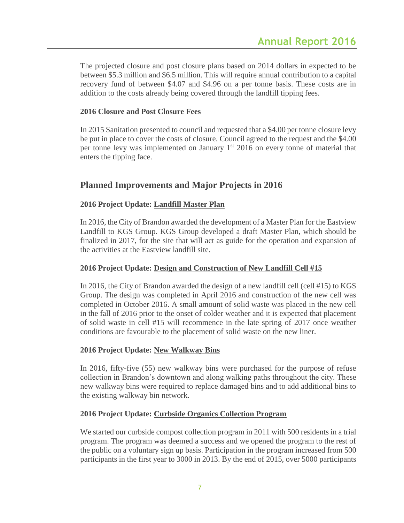The projected closure and post closure plans based on 2014 dollars in expected to be between \$5.3 million and \$6.5 million. This will require annual contribution to a capital recovery fund of between \$4.07 and \$4.96 on a per tonne basis. These costs are in addition to the costs already being covered through the landfill tipping fees.

#### **2016 Closure and Post Closure Fees**

In 2015 Sanitation presented to council and requested that a \$4.00 per tonne closure levy be put in place to cover the costs of closure. Council agreed to the request and the \$4.00 per tonne levy was implemented on January 1<sup>st</sup> 2016 on every tonne of material that enters the tipping face.

## **Planned Improvements and Major Projects in 2016**

#### **2016 Project Update: Landfill Master Plan**

In 2016, the City of Brandon awarded the development of a Master Plan for the Eastview Landfill to KGS Group. KGS Group developed a draft Master Plan, which should be finalized in 2017, for the site that will act as guide for the operation and expansion of the activities at the Eastview landfill site.

#### **2016 Project Update: Design and Construction of New Landfill Cell #15**

In 2016, the City of Brandon awarded the design of a new landfill cell (cell #15) to KGS Group. The design was completed in April 2016 and construction of the new cell was completed in October 2016. A small amount of solid waste was placed in the new cell in the fall of 2016 prior to the onset of colder weather and it is expected that placement of solid waste in cell #15 will recommence in the late spring of 2017 once weather conditions are favourable to the placement of solid waste on the new liner.

#### **2016 Project Update: New Walkway Bins**

In 2016, fifty-five (55) new walkway bins were purchased for the purpose of refuse collection in Brandon's downtown and along walking paths throughout the city. These new walkway bins were required to replace damaged bins and to add additional bins to the existing walkway bin network.

#### **2016 Project Update: Curbside Organics Collection Program**

We started our curbside compost collection program in 2011 with 500 residents in a trial program. The program was deemed a success and we opened the program to the rest of the public on a voluntary sign up basis. Participation in the program increased from 500 participants in the first year to 3000 in 2013. By the end of 2015, over 5000 participants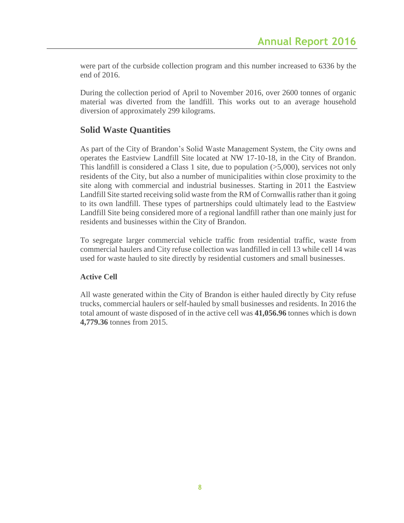were part of the curbside collection program and this number increased to 6336 by the end of 2016.

During the collection period of April to November 2016, over 2600 tonnes of organic material was diverted from the landfill. This works out to an average household diversion of approximately 299 kilograms.

# **Solid Waste Quantities**

As part of the City of Brandon's Solid Waste Management System, the City owns and operates the Eastview Landfill Site located at NW 17-10-18, in the City of Brandon. This landfill is considered a Class 1 site, due to population  $($ >5,000), services not only residents of the City, but also a number of municipalities within close proximity to the site along with commercial and industrial businesses. Starting in 2011 the Eastview Landfill Site started receiving solid waste from the RM of Cornwallis rather than it going to its own landfill. These types of partnerships could ultimately lead to the Eastview Landfill Site being considered more of a regional landfill rather than one mainly just for residents and businesses within the City of Brandon.

To segregate larger commercial vehicle traffic from residential traffic, waste from commercial haulers and City refuse collection was landfilled in cell 13 while cell 14 was used for waste hauled to site directly by residential customers and small businesses.

#### **Active Cell**

All waste generated within the City of Brandon is either hauled directly by City refuse trucks, commercial haulers or self-hauled by small businesses and residents. In 2016 the total amount of waste disposed of in the active cell was **41,056.96** tonnes which is down **4,779.36** tonnes from 2015.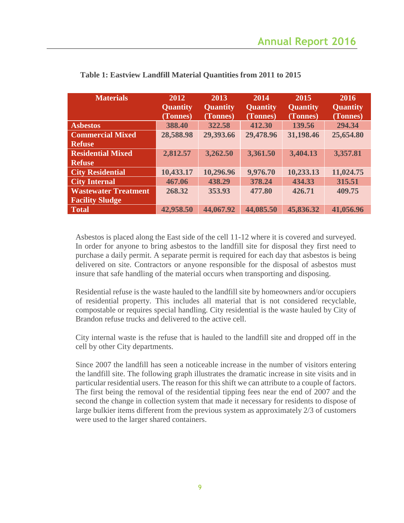| <b>Materials</b>            | 2012                        | 2013<br>2014                |                             | 2015                        | 2016                        |
|-----------------------------|-----------------------------|-----------------------------|-----------------------------|-----------------------------|-----------------------------|
|                             | <b>Quantity</b><br>(Tonnes) | <b>Quantity</b><br>(Tonnes) | <b>Quantity</b><br>(Tonnes) | <b>Quantity</b><br>(Tonnes) | <b>Quantity</b><br>(Tonnes) |
| <b>Asbestos</b>             | 388.40                      | 322.58                      | 412.30                      | 139.56                      | 294.34                      |
| <b>Commercial Mixed</b>     | 28,588.98                   | 29,393.66                   | 29,478.96                   | 31,198.46                   | 25,654.80                   |
| <b>Refuse</b>               |                             |                             |                             |                             |                             |
| <b>Residential Mixed</b>    | 2,812.57                    | 3,262.50                    | 3,361.50                    | 3,404.13                    | 3,357.81                    |
| <b>Refuse</b>               |                             |                             |                             |                             |                             |
| <b>City Residential</b>     | 10,433.17                   | 10,296.96                   | 9,976.70                    | 10,233.13                   | 11,024.75                   |
| <b>City Internal</b>        | 467.06                      | 438.29                      | 378.24                      | 434.33                      | 315.51                      |
| <b>Wastewater Treatment</b> | 268.32                      | 353.93                      | 477.80                      | 426.71                      | 409.75                      |
| <b>Facility Sludge</b>      |                             |                             |                             |                             |                             |
| <b>Total</b>                | 42,958.50                   | 44,067.92                   | 44,085.50                   | 45,836.32                   | 41,056.96                   |

| Table 1: Eastview Landfill Material Quantities from 2011 to 2015 |  |
|------------------------------------------------------------------|--|
|------------------------------------------------------------------|--|

Asbestos is placed along the East side of the cell 11-12 where it is covered and surveyed. In order for anyone to bring asbestos to the landfill site for disposal they first need to purchase a daily permit. A separate permit is required for each day that asbestos is being delivered on site. Contractors or anyone responsible for the disposal of asbestos must insure that safe handling of the material occurs when transporting and disposing.

Residential refuse is the waste hauled to the landfill site by homeowners and/or occupiers of residential property. This includes all material that is not considered recyclable, compostable or requires special handling. City residential is the waste hauled by City of Brandon refuse trucks and delivered to the active cell.

City internal waste is the refuse that is hauled to the landfill site and dropped off in the cell by other City departments.

Since 2007 the landfill has seen a noticeable increase in the number of visitors entering the landfill site. The following graph illustrates the dramatic increase in site visits and in particular residential users. The reason for this shift we can attribute to a couple of factors. The first being the removal of the residential tipping fees near the end of 2007 and the second the change in collection system that made it necessary for residents to dispose of large bulkier items different from the previous system as approximately 2/3 of customers were used to the larger shared containers.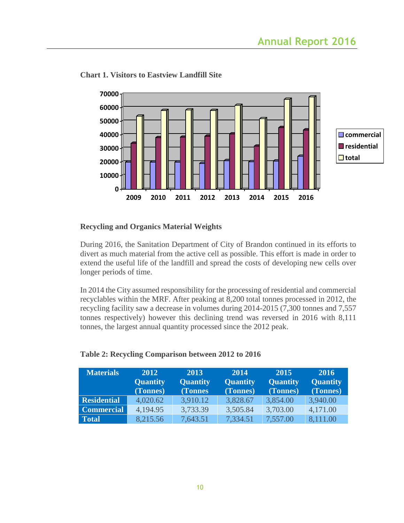

#### **Chart 1. Visitors to Eastview Landfill Site**

#### **Recycling and Organics Material Weights**

During 2016, the Sanitation Department of City of Brandon continued in its efforts to divert as much material from the active cell as possible. This effort is made in order to extend the useful life of the landfill and spread the costs of developing new cells over longer periods of time.

In 2014 the City assumed responsibility for the processing of residential and commercial recyclables within the MRF. After peaking at 8,200 total tonnes processed in 2012, the recycling facility saw a decrease in volumes during 2014-2015 (7,300 tonnes and 7,557 tonnes respectively) however this declining trend was reversed in 2016 with 8,111 tonnes, the largest annual quantity processed since the 2012 peak.

| <b>Materials</b>   | 2012<br><b>Quantity</b><br>(Tonnes) | 2013<br><b>Quantity</b><br>(Tonnes | 2014<br><b>Quantity</b><br>(Tonnes) | 2015<br><b>Quantity</b><br>(Tonnes) | 2016<br><b>Quantity</b><br>(Tonnes) |
|--------------------|-------------------------------------|------------------------------------|-------------------------------------|-------------------------------------|-------------------------------------|
| <b>Residential</b> | 4,020.62                            | 3,910.12                           | 3,828.67                            | 3,854.00                            | 3,940.00                            |
| <b>Commercial</b>  | 4,194.95                            | 3,733.39                           | 3,505.84                            | 3,703.00                            | 4,171.00                            |
| <b>Total</b>       | 8,215.56                            | 7,643.51                           | 7,334.51                            | 7,557.00                            | 8,111.00                            |

#### **Table 2: Recycling Comparison between 2012 to 2016**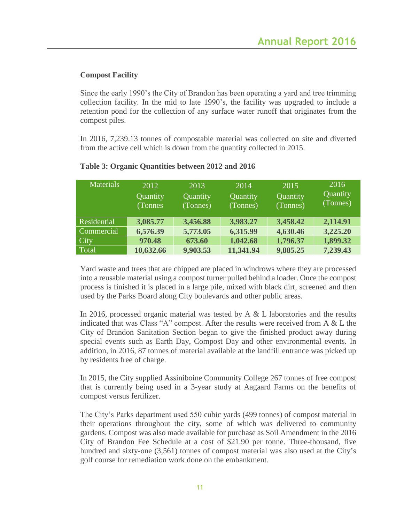#### **Compost Facility**

Since the early 1990's the City of Brandon has been operating a yard and tree trimming collection facility. In the mid to late 1990's, the facility was upgraded to include a retention pond for the collection of any surface water runoff that originates from the compost piles.

In 2016, 7,239.13 tonnes of compostable material was collected on site and diverted from the active cell which is down from the quantity collected in 2015.

| <b>Materials</b> | 2012<br>Quantity<br>(Tonnes) | 2013<br>Quantity<br>(Tonnes) | 2014<br>Quantity<br>(Tonnes) | 2015<br>Quantity<br>(Tonnes) | 2016<br>Quantity<br>(Tonnes) |
|------------------|------------------------------|------------------------------|------------------------------|------------------------------|------------------------------|
| Residential      | 3,085.77                     | 3,456.88                     | 3,983.27                     | 3,458.42                     | 2,114.91                     |
| Commercial       | 6,576.39                     | 5,773.05                     | 6,315.99                     | 4,630.46                     | 3,225.20                     |
| City             | 970.48                       | 673.60                       | 1,042.68                     | 1,796.37                     | 1,899.32                     |
| Total            | 10,632.66                    | 9,903.53                     | 11,341.94                    | 9,885.25                     | 7,239.43                     |

#### **Table 3: Organic Quantities between 2012 and 2016**

Yard waste and trees that are chipped are placed in windrows where they are processed into a reusable material using a compost turner pulled behind a loader. Once the compost process is finished it is placed in a large pile, mixed with black dirt, screened and then used by the Parks Board along City boulevards and other public areas.

In 2016, processed organic material was tested by  $A \& L$  laboratories and the results indicated that was Class "A" compost. After the results were received from A & L the City of Brandon Sanitation Section began to give the finished product away during special events such as Earth Day, Compost Day and other environmental events. In addition, in 2016, 87 tonnes of material available at the landfill entrance was picked up by residents free of charge.

In 2015, the City supplied Assiniboine Community College 267 tonnes of free compost that is currently being used in a 3-year study at Aagaard Farms on the benefits of compost versus fertilizer.

The City's Parks department used 550 cubic yards (499 tonnes) of compost material in their operations throughout the city, some of which was delivered to community gardens. Compost was also made available for purchase as Soil Amendment in the 2016 City of Brandon Fee Schedule at a cost of \$21.90 per tonne. Three-thousand, five hundred and sixty-one (3,561) tonnes of compost material was also used at the City's golf course for remediation work done on the embankment.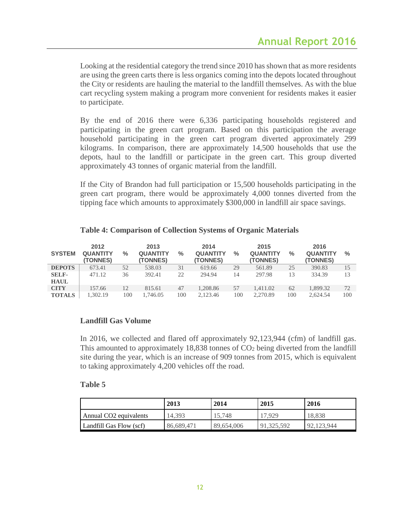Looking at the residential category the trend since 2010 has shown that as more residents are using the green carts there is less organics coming into the depots located throughout the City or residents are hauling the material to the landfill themselves. As with the blue cart recycling system making a program more convenient for residents makes it easier to participate.

By the end of 2016 there were 6,336 participating households registered and participating in the green cart program. Based on this participation the average household participating in the green cart program diverted approximately 299 kilograms. In comparison, there are approximately 14,500 households that use the depots, haul to the landfill or participate in the green cart. This group diverted approximately 43 tonnes of organic material from the landfill.

If the City of Brandon had full participation or 15,500 households participating in the green cart program, there would be approximately 4,000 tonnes diverted from the tipping face which amounts to approximately \$300,000 in landfill air space savings.

| <b>SYSTEM</b> | 2012<br><b>QUANTITY</b><br><b>(TONNES)</b> | $\frac{0}{0}$ | 2013<br><b>QUANTITY</b><br>(TONNES) | $\frac{0}{0}$ | 2014<br><b>QUANTITY</b><br><b>(TONNES)</b> | $\frac{0}{0}$ | 2015<br><b>QUANTITY</b><br>(TONNES) | $\frac{0}{0}$ | 2016<br><b>QUANTITY</b><br>(TONNES) | $\frac{0}{6}$ |
|---------------|--------------------------------------------|---------------|-------------------------------------|---------------|--------------------------------------------|---------------|-------------------------------------|---------------|-------------------------------------|---------------|
| <b>DEPOTS</b> | 673.41                                     | 52            | 538.03                              | 31            | 619.66                                     | 29            | 561.89                              | 25            | 390.83                              | 15            |
| <b>SELF-</b>  | 471.12                                     | 36            | 392.41                              | 22            | 294.94                                     | 14            | 297.98                              | 13            | 334.39                              | 13            |
| <b>HAUL</b>   |                                            |               |                                     |               |                                            |               |                                     |               |                                     |               |
| <b>CITY</b>   | 157.66                                     | 12            | 815.61                              | 47            | 1.208.86                                   | 57            | 1.411.02                            | 62            | 1.899.32                            | 72            |
| <b>TOTALS</b> | 1.302.19                                   | 100           | 1.746.05                            | 100           | 2.123.46                                   | 100           | 2.270.89                            | 100           | 2.624.54                            | 100           |

#### **Table 4: Comparison of Collection Systems of Organic Materials**

#### **Landfill Gas Volume**

In 2016, we collected and flared off approximately 92,123,944 (cfm) of landfill gas. This amounted to approximately 18,838 tonnes of  $CO<sub>2</sub>$  being diverted from the landfill site during the year, which is an increase of 909 tonnes from 2015, which is equivalent to taking approximately 4,200 vehicles off the road.

#### **Table 5**

|                         | 2013       | 2014       | 2015     | 2016       |
|-------------------------|------------|------------|----------|------------|
| Annual CO2 equivalents  | 14.393     | 15,748     | 7.929    | 18,838     |
| Landfill Gas Flow (scf) | 86,689,471 | 89,654,006 | .325.592 | 92.123.944 |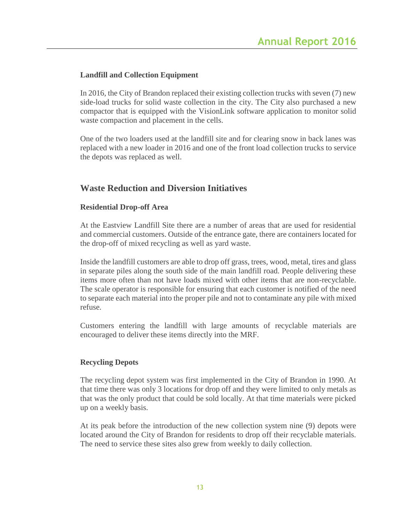#### **Landfill and Collection Equipment**

In 2016, the City of Brandon replaced their existing collection trucks with seven (7) new side-load trucks for solid waste collection in the city. The City also purchased a new compactor that is equipped with the VisionLink software application to monitor solid waste compaction and placement in the cells.

One of the two loaders used at the landfill site and for clearing snow in back lanes was replaced with a new loader in 2016 and one of the front load collection trucks to service the depots was replaced as well.

# **Waste Reduction and Diversion Initiatives**

#### **Residential Drop-off Area**

At the Eastview Landfill Site there are a number of areas that are used for residential and commercial customers. Outside of the entrance gate, there are containers located for the drop-off of mixed recycling as well as yard waste.

Inside the landfill customers are able to drop off grass, trees, wood, metal, tires and glass in separate piles along the south side of the main landfill road. People delivering these items more often than not have loads mixed with other items that are non-recyclable. The scale operator is responsible for ensuring that each customer is notified of the need to separate each material into the proper pile and not to contaminate any pile with mixed refuse.

Customers entering the landfill with large amounts of recyclable materials are encouraged to deliver these items directly into the MRF.

#### **Recycling Depots**

The recycling depot system was first implemented in the City of Brandon in 1990. At that time there was only 3 locations for drop off and they were limited to only metals as that was the only product that could be sold locally. At that time materials were picked up on a weekly basis.

At its peak before the introduction of the new collection system nine (9) depots were located around the City of Brandon for residents to drop off their recyclable materials. The need to service these sites also grew from weekly to daily collection.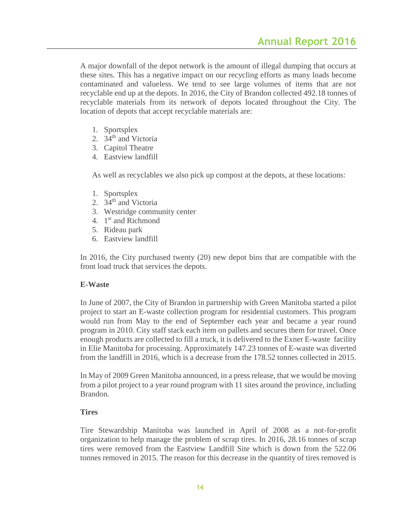A major downfall of the depot network is the amount of illegal dumping that occurs at these sites. This has a negative impact on our recycling efforts as many loads become contaminated and valueless. We tend to see large volumes of items that are not recyclable end up at the depots. In 2016, the City of Brandon collected 492.18 tonnes of recyclable materials from its network of depots located throughout the City. The location of depots that accept recyclable materials are:

- 1. Sportsplex
- 2. 34<sup>th</sup> and Victoria
- 3. Capitol Theatre
- 4. Eastview landfill

As well as recyclables we also pick up compost at the depots, at these locations:

- 1. Sportsplex
- 2. 34<sup>th</sup> and Victoria
- 3. Westridge community center
- 4. 1<sup>st</sup> and Richmond
- 5. Rideau park
- 6. Eastview landfill

In 2016, the City purchased twenty (20) new depot bins that are compatible with the front load truck that services the depots.

#### **E-Waste**

In June of 2007, the City of Brandon in partnership with Green Manitoba started a pilot project to start an E-waste collection program for residential customers. This program would run from May to the end of September each year and became a year round program in 2010. City staff stack each item on pallets and secures them for travel. Once enough products are collected to fill a truck, it is delivered to the Exner E-waste facility in Elie Manitoba for processing. Approximately 147.23 tonnes of E-waste was diverted from the landfill in 2016, which is a decrease from the 178.52 tonnes collected in 2015.

In May of 2009 Green Manitoba announced, in a press release, that we would be moving from a pilot project to a year round program with 11 sites around the province, including Brandon.

#### **Tires**

Tire Stewardship Manitoba was launched in April of 2008 as a not-for-profit organization to help manage the problem of scrap tires. In 2016, 28.16 tonnes of scrap tires were removed from the Eastview Landfill Site which is down from the 522.06 tonnes removed in 2015. The reason for this decrease in the quantity of tires removed is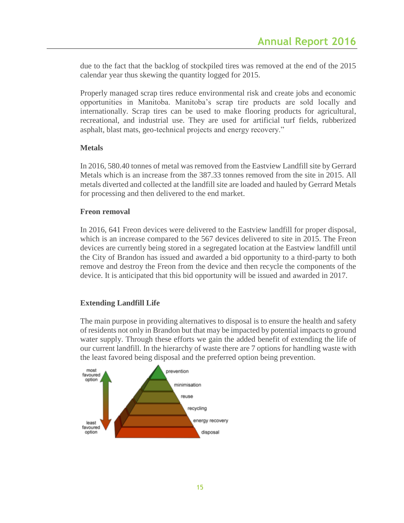due to the fact that the backlog of stockpiled tires was removed at the end of the 2015 calendar year thus skewing the quantity logged for 2015.

Properly managed scrap tires reduce environmental risk and create jobs and economic opportunities in Manitoba. Manitoba's scrap tire products are sold locally and internationally. Scrap tires can be used to make flooring products for agricultural, recreational, and industrial use. They are used for artificial turf fields, rubberized asphalt, blast mats, geo-technical projects and energy recovery."

#### **Metals**

In 2016, 580.40 tonnes of metal was removed from the Eastview Landfill site by Gerrard Metals which is an increase from the 387.33 tonnes removed from the site in 2015. All metals diverted and collected at the landfill site are loaded and hauled by Gerrard Metals for processing and then delivered to the end market.

#### **Freon removal**

In 2016, 641 Freon devices were delivered to the Eastview landfill for proper disposal, which is an increase compared to the 567 devices delivered to site in 2015. The Freon devices are currently being stored in a segregated location at the Eastview landfill until the City of Brandon has issued and awarded a bid opportunity to a third-party to both remove and destroy the Freon from the device and then recycle the components of the device. It is anticipated that this bid opportunity will be issued and awarded in 2017.

#### **Extending Landfill Life**

The main purpose in providing alternatives to disposal is to ensure the health and safety of residents not only in Brandon but that may be impacted by potential impacts to ground water supply. Through these efforts we gain the added benefit of extending the life of our current landfill. In the hierarchy of waste there are 7 options for handling waste with the least favored being disposal and the preferred option being prevention.

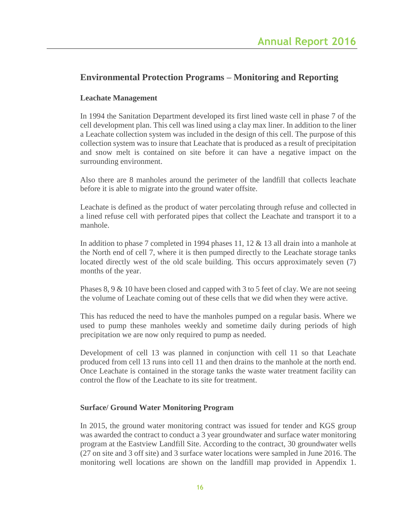# **Environmental Protection Programs – Monitoring and Reporting**

#### **Leachate Management**

In 1994 the Sanitation Department developed its first lined waste cell in phase 7 of the cell development plan. This cell was lined using a clay max liner. In addition to the liner a Leachate collection system was included in the design of this cell. The purpose of this collection system was to insure that Leachate that is produced as a result of precipitation and snow melt is contained on site before it can have a negative impact on the surrounding environment.

Also there are 8 manholes around the perimeter of the landfill that collects leachate before it is able to migrate into the ground water offsite.

Leachate is defined as the product of water percolating through refuse and collected in a lined refuse cell with perforated pipes that collect the Leachate and transport it to a manhole.

In addition to phase 7 completed in 1994 phases 11, 12 & 13 all drain into a manhole at the North end of cell 7, where it is then pumped directly to the Leachate storage tanks located directly west of the old scale building. This occurs approximately seven (7) months of the year.

Phases 8, 9 & 10 have been closed and capped with 3 to 5 feet of clay. We are not seeing the volume of Leachate coming out of these cells that we did when they were active.

This has reduced the need to have the manholes pumped on a regular basis. Where we used to pump these manholes weekly and sometime daily during periods of high precipitation we are now only required to pump as needed.

Development of cell 13 was planned in conjunction with cell 11 so that Leachate produced from cell 13 runs into cell 11 and then drains to the manhole at the north end. Once Leachate is contained in the storage tanks the waste water treatment facility can control the flow of the Leachate to its site for treatment.

#### **Surface/ Ground Water Monitoring Program**

In 2015, the ground water monitoring contract was issued for tender and KGS group was awarded the contract to conduct a 3 year groundwater and surface water monitoring program at the Eastview Landfill Site. According to the contract, 30 groundwater wells (27 on site and 3 off site) and 3 surface water locations were sampled in June 2016. The monitoring well locations are shown on the landfill map provided in Appendix 1.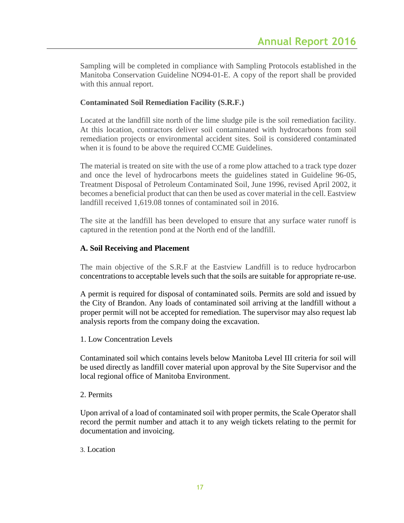Sampling will be completed in compliance with Sampling Protocols established in the Manitoba Conservation Guideline NO94-01-E. A copy of the report shall be provided with this annual report.

#### **Contaminated Soil Remediation Facility (S.R.F.)**

Located at the landfill site north of the lime sludge pile is the soil remediation facility. At this location, contractors deliver soil contaminated with hydrocarbons from soil remediation projects or environmental accident sites. Soil is considered contaminated when it is found to be above the required CCME Guidelines.

The material is treated on site with the use of a rome plow attached to a track type dozer and once the level of hydrocarbons meets the guidelines stated in Guideline 96-05, Treatment Disposal of Petroleum Contaminated Soil, June 1996, revised April 2002, it becomes a beneficial product that can then be used as cover material in the cell. Eastview landfill received 1,619.08 tonnes of contaminated soil in 2016.

The site at the landfill has been developed to ensure that any surface water runoff is captured in the retention pond at the North end of the landfill.

#### **A. Soil Receiving and Placement**

The main objective of the S.R.F at the Eastview Landfill is to reduce hydrocarbon concentrations to acceptable levels such that the soils are suitable for appropriate re-use.

A permit is required for disposal of contaminated soils. Permits are sold and issued by the City of Brandon. Any loads of contaminated soil arriving at the landfill without a proper permit will not be accepted for remediation. The supervisor may also request lab analysis reports from the company doing the excavation.

#### 1. Low Concentration Levels

Contaminated soil which contains levels below Manitoba Level III criteria for soil will be used directly as landfill cover material upon approval by the Site Supervisor and the local regional office of Manitoba Environment.

#### 2. Permits

Upon arrival of a load of contaminated soil with proper permits, the Scale Operator shall record the permit number and attach it to any weigh tickets relating to the permit for documentation and invoicing.

#### 3. Location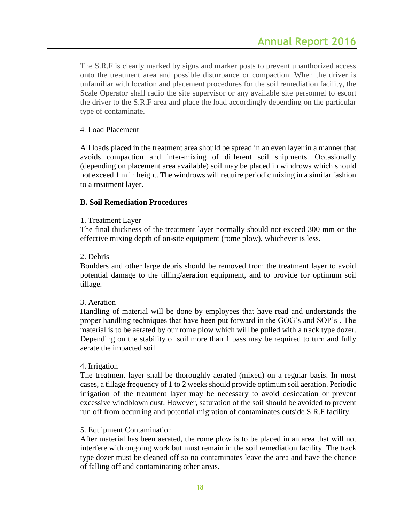The S.R.F is clearly marked by signs and marker posts to prevent unauthorized access onto the treatment area and possible disturbance or compaction. When the driver is unfamiliar with location and placement procedures for the soil remediation facility, the Scale Operator shall radio the site supervisor or any available site personnel to escort the driver to the S.R.F area and place the load accordingly depending on the particular type of contaminate.

#### 4. Load Placement

All loads placed in the treatment area should be spread in an even layer in a manner that avoids compaction and inter-mixing of different soil shipments. Occasionally (depending on placement area available) soil may be placed in windrows which should not exceed 1 m in height. The windrows will require periodic mixing in a similar fashion to a treatment layer.

#### **B. Soil Remediation Procedures**

#### 1. Treatment Layer

The final thickness of the treatment layer normally should not exceed 300 mm or the effective mixing depth of on-site equipment (rome plow), whichever is less.

#### 2. Debris

Boulders and other large debris should be removed from the treatment layer to avoid potential damage to the tilling/aeration equipment, and to provide for optimum soil tillage.

#### 3. Aeration

Handling of material will be done by employees that have read and understands the proper handling techniques that have been put forward in the GOG's and SOP's . The material is to be aerated by our rome plow which will be pulled with a track type dozer. Depending on the stability of soil more than 1 pass may be required to turn and fully aerate the impacted soil.

#### 4. Irrigation

The treatment layer shall be thoroughly aerated (mixed) on a regular basis. In most cases, a tillage frequency of 1 to 2 weeks should provide optimum soil aeration. Periodic irrigation of the treatment layer may be necessary to avoid desiccation or prevent excessive windblown dust. However, saturation of the soil should be avoided to prevent run off from occurring and potential migration of contaminates outside S.R.F facility.

#### 5. Equipment Contamination

After material has been aerated, the rome plow is to be placed in an area that will not interfere with ongoing work but must remain in the soil remediation facility. The track type dozer must be cleaned off so no contaminates leave the area and have the chance of falling off and contaminating other areas.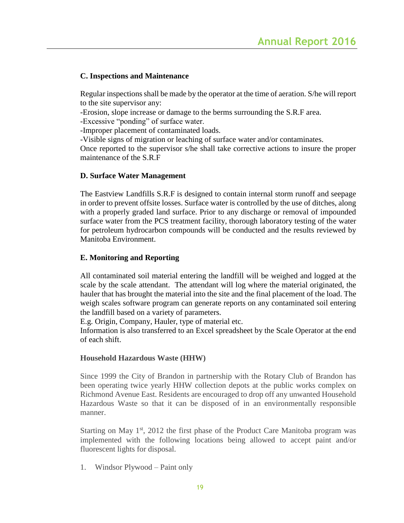#### **C. Inspections and Maintenance**

Regular inspections shall be made by the operator at the time of aeration. S/he will report to the site supervisor any:

-Erosion, slope increase or damage to the berms surrounding the S.R.F area.

-Excessive "ponding" of surface water.

-Improper placement of contaminated loads.

-Visible signs of migration or leaching of surface water and/or contaminates.

Once reported to the supervisor s/he shall take corrective actions to insure the proper maintenance of the S.R.F

#### **D. Surface Water Management**

The Eastview Landfills S.R.F is designed to contain internal storm runoff and seepage in order to prevent offsite losses. Surface water is controlled by the use of ditches, along with a properly graded land surface. Prior to any discharge or removal of impounded surface water from the PCS treatment facility, thorough laboratory testing of the water for petroleum hydrocarbon compounds will be conducted and the results reviewed by Manitoba Environment.

#### **E. Monitoring and Reporting**

All contaminated soil material entering the landfill will be weighed and logged at the scale by the scale attendant. The attendant will log where the material originated, the hauler that has brought the material into the site and the final placement of the load. The weigh scales software program can generate reports on any contaminated soil entering the landfill based on a variety of parameters.

E.g. Origin, Company, Hauler, type of material etc.

Information is also transferred to an Excel spreadsheet by the Scale Operator at the end of each shift.

#### **Household Hazardous Waste (HHW)**

Since 1999 the City of Brandon in partnership with the Rotary Club of Brandon has been operating twice yearly HHW collection depots at the public works complex on Richmond Avenue East. Residents are encouraged to drop off any unwanted Household Hazardous Waste so that it can be disposed of in an environmentally responsible manner.

Starting on May  $1<sup>st</sup>$ , 2012 the first phase of the Product Care Manitoba program was implemented with the following locations being allowed to accept paint and/or fluorescent lights for disposal.

1. Windsor Plywood – Paint only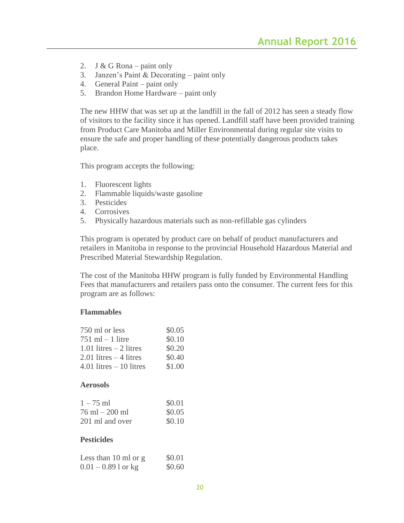- 2. J & G Rona paint only
- 3. Janzen's Paint & Decorating paint only
- 4. General Paint paint only
- 5. Brandon Home Hardware paint only

The new HHW that was set up at the landfill in the fall of 2012 has seen a steady flow of visitors to the facility since it has opened. Landfill staff have been provided training from Product Care Manitoba and Miller Environmental during regular site visits to ensure the safe and proper handling of these potentially dangerous products takes place.

This program accepts the following:

- 1. Fluorescent lights
- 2. Flammable liquids/waste gasoline
- 3. Pesticides
- 4. Corrosives
- 5. Physically hazardous materials such as non-refillable gas cylinders

This program is operated by product care on behalf of product manufacturers and retailers in Manitoba in response to the provincial Household Hazardous Material and Prescribed Material Stewardship Regulation.

The cost of the Manitoba HHW program is fully funded by Environmental Handling Fees that manufacturers and retailers pass onto the consumer. The current fees for this program are as follows:

#### **Flammables**

| 750 ml or less             | \$0.05 |
|----------------------------|--------|
| $751$ ml $-1$ litre        | \$0.10 |
| $1.01$ litres $-2$ litres  | \$0.20 |
| $2.01$ litres $-4$ litres  | \$0.40 |
| $4.01$ litres $-10$ litres | \$1.00 |
| <b>Aerosols</b>            |        |

| $1 - 75$ ml     | \$0.01 |
|-----------------|--------|
| 76 ml – 200 ml  | \$0.05 |
| 201 ml and over | \$0.10 |

#### **Pesticides**

| Less than 10 ml or $g$ | \$0.01 |
|------------------------|--------|
| $0.01 - 0.89$ l or kg  | \$0.60 |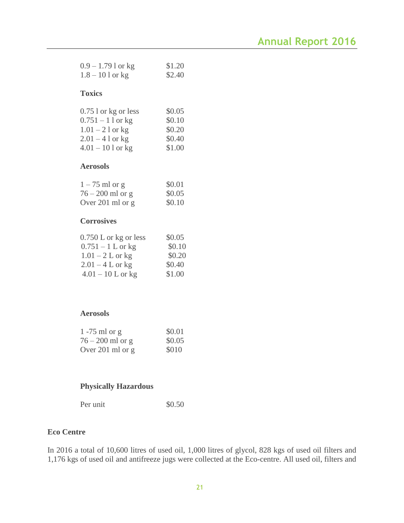| $0.9 - 1.791$ or kg | \$1.20 |
|---------------------|--------|
| $1.8 - 101$ or kg   | \$2.40 |

#### **Toxics**

| $0.75$ l or kg or less | \$0.05 |
|------------------------|--------|
| $0.751 - 11$ or kg     | \$0.10 |
| $1.01 - 21$ or kg      | \$0.20 |
| $2.01 - 41$ or kg      | \$0.40 |
| $4.01 - 101$ or kg     | \$1.00 |

#### **Aerosols**

| $1-75$ ml or g     | \$0.01 |
|--------------------|--------|
| $76 - 200$ ml or g | \$0.05 |
| Over 201 ml or g   | \$0.10 |

#### **Corrosives**

| $0.750$ L or kg or less | \$0.05 |
|-------------------------|--------|
| $0.751 - 1$ L or kg     | \$0.10 |
| $1.01 - 2$ L or kg      | \$0.20 |
| $2.01 - 4$ L or kg      | \$0.40 |
| $4.01 - 10$ L or kg     | \$1.00 |

#### **Aerosols**

| 1 $-75$ ml or g    | \$0.01 |
|--------------------|--------|
| $76 - 200$ ml or g | \$0.05 |
| Over 201 ml or $g$ | \$010  |

## **Physically Hazardous**

| Per unit | \$0.50 |
|----------|--------|
|----------|--------|

#### **Eco Centre**

In 2016 a total of 10,600 litres of used oil, 1,000 litres of glycol, 828 kgs of used oil filters and 1,176 kgs of used oil and antifreeze jugs were collected at the Eco-centre. All used oil, filters and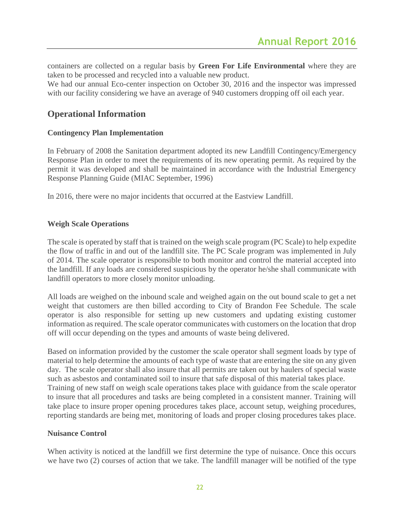containers are collected on a regular basis by **Green For Life Environmental** where they are taken to be processed and recycled into a valuable new product.

We had our annual Eco-center inspection on October 30, 2016 and the inspector was impressed with our facility considering we have an average of 940 customers dropping off oil each year.

# **Operational Information**

#### **Contingency Plan Implementation**

In February of 2008 the Sanitation department adopted its new Landfill Contingency/Emergency Response Plan in order to meet the requirements of its new operating permit. As required by the permit it was developed and shall be maintained in accordance with the Industrial Emergency Response Planning Guide (MIAC September, 1996)

In 2016, there were no major incidents that occurred at the Eastview Landfill.

#### **Weigh Scale Operations**

The scale is operated by staff that is trained on the weigh scale program (PC Scale) to help expedite the flow of traffic in and out of the landfill site. The PC Scale program was implemented in July of 2014. The scale operator is responsible to both monitor and control the material accepted into the landfill. If any loads are considered suspicious by the operator he/she shall communicate with landfill operators to more closely monitor unloading.

All loads are weighed on the inbound scale and weighed again on the out bound scale to get a net weight that customers are then billed according to City of Brandon Fee Schedule. The scale operator is also responsible for setting up new customers and updating existing customer information as required. The scale operator communicates with customers on the location that drop off will occur depending on the types and amounts of waste being delivered.

Based on information provided by the customer the scale operator shall segment loads by type of material to help determine the amounts of each type of waste that are entering the site on any given day. The scale operator shall also insure that all permits are taken out by haulers of special waste such as asbestos and contaminated soil to insure that safe disposal of this material takes place. Training of new staff on weigh scale operations takes place with guidance from the scale operator to insure that all procedures and tasks are being completed in a consistent manner. Training will take place to insure proper opening procedures takes place, account setup, weighing procedures, reporting standards are being met, monitoring of loads and proper closing procedures takes place.

#### **Nuisance Control**

When activity is noticed at the landfill we first determine the type of nuisance. Once this occurs we have two (2) courses of action that we take. The landfill manager will be notified of the type